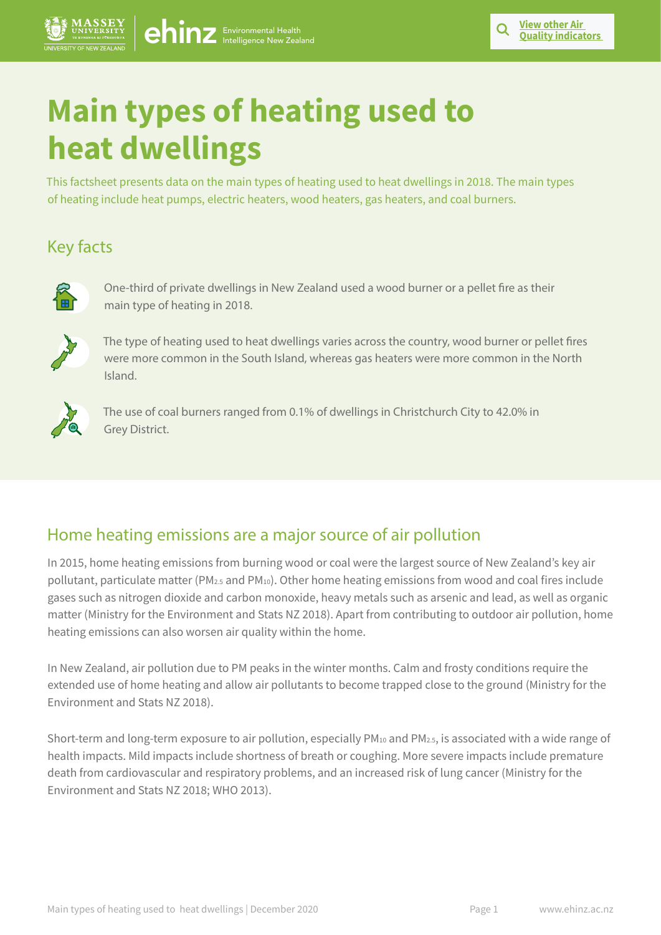# **Main types of heating used to heat dwellings**

This factsheet presents data on the main types of heating used to heat dwellings in 2018. The main types of heating include heat pumps, electric heaters, wood heaters, gas heaters, and coal burners.

# Key facts



One-third of private dwellings in New Zealand used a wood burner or a pellet fire as their main type of heating in 2018.



The type of heating used to heat dwellings varies across the country, wood burner or pellet fires were more common in the South Island, whereas gas heaters were more common in the North Island.



The use of coal burners ranged from 0.1% of dwellings in Christchurch City to 42.0% in Grey District.

## Home heating emissions are a major source of air pollution

In 2015, home heating emissions from burning wood or coal were the largest source of New Zealand's key air pollutant, particulate matter (PM2.5 and PM10). Other home heating emissions from wood and coal fires include gases such as nitrogen dioxide and carbon monoxide, heavy metals such as arsenic and lead, as well as organic matter (Ministry for the Environment and Stats NZ 2018). Apart from contributing to outdoor air pollution, home heating emissions can also worsen air quality within the home.

In New Zealand, air pollution due to PM peaks in the winter months. Calm and frosty conditions require the extended use of home heating and allow air pollutants to become trapped close to the ground (Ministry for the Environment and Stats NZ 2018).

Short-term and long-term exposure to air pollution, especially PM10 and PM2.5, is associated with a wide range of health impacts. Mild impacts include shortness of breath or coughing. More severe impacts include premature death from cardiovascular and respiratory problems, and an increased risk of lung cancer (Ministry for the Environment and Stats NZ 2018; WHO 2013).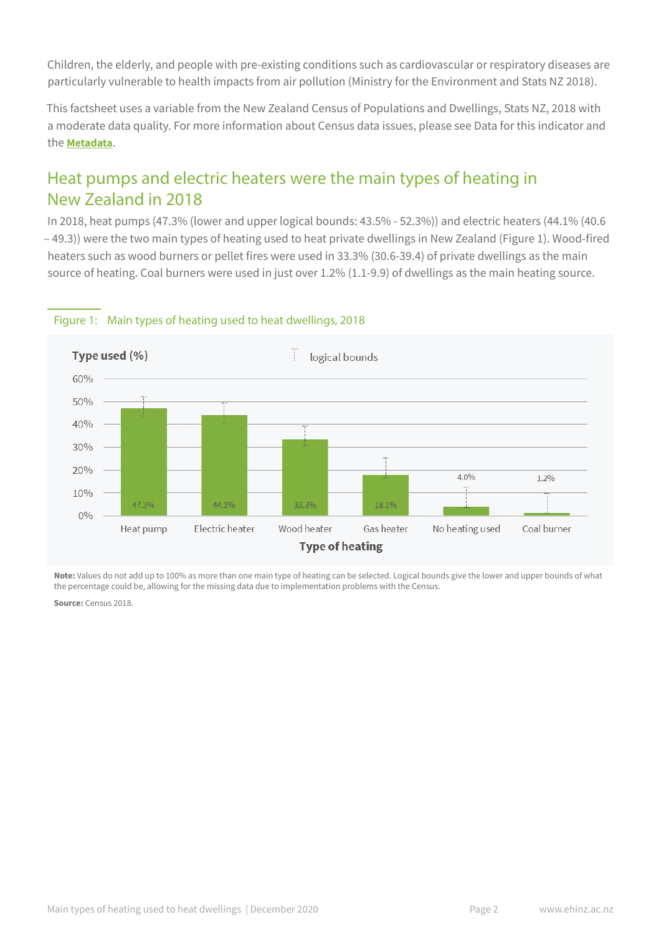Children, the elderly, and people with pre-existing conditions such as cardiovascular or respiratory diseases are particularly vulnerable to health impacts from air pollution (Ministry for the Environment and Stats NZ 2018).

This factsheet uses a variable from the New Zealand Census of Populations and Dwellings, Stats NZ, 2018 with a moderate data quality. For more information about Census data issues, please see Data for this indicator and the **[Metadata](https://www.ehinz.ac.nz/assets/Factsheets/Metadata_MainTypesHeating.pdf?utm_source=Metadata&utm_medium=factsheet&utm_campaign=maintypesheating)**.

## Heat pumps and electric heaters were the main types of heating in New Zealand in 2018

In 2018, heat pumps (47.3% (lower and upper logical bounds: 43.5% - 52.3%)) and electric heaters (44.1% (40.6 – 49.3)) were the two main types of heating used to heat private dwellings in New Zealand (Figure 1). Wood-fired heaters such as wood burners or pellet fires were used in 33.3% (30.6-39.4) of private dwellings as the main source of heating. Coal burners were used in just over 1.2% (1.1-9.9) of dwellings as the main heating source.



#### Figure 1: Main types of heating used to heat dwellings, 2018

**Note:** Values do not add up to 100% as more than one main type of heating can be selected. Logical bounds give the lower and upper bounds of what the percentage could be, allowing for the missing data due to implementation problems with the Census.

**Source:** Census 2018.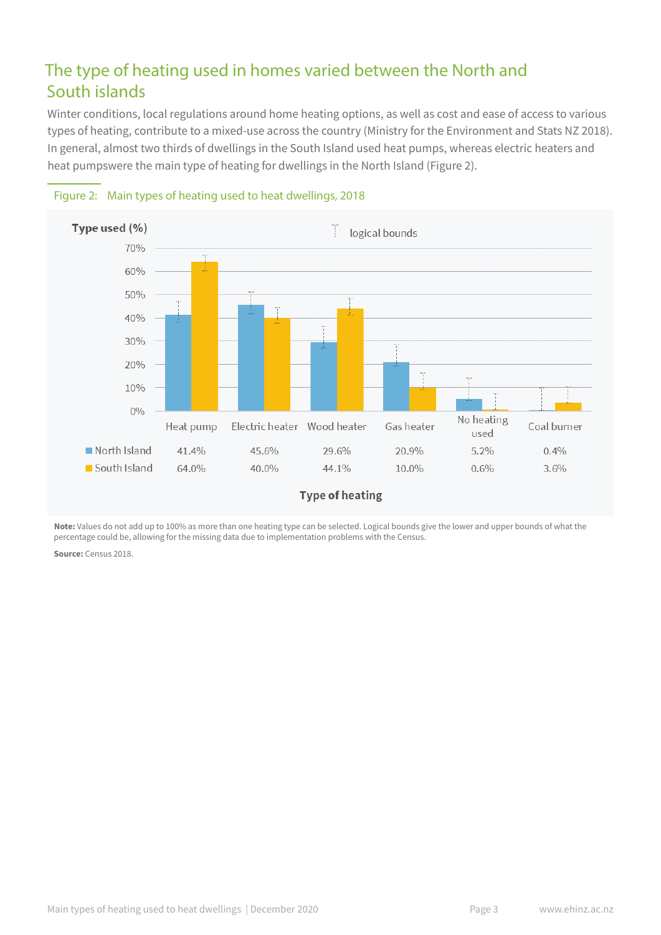## The type of heating used in homes varied between the North and South islands

Winter conditions, local regulations around home heating options, as well as cost and ease of access to various types of heating, contribute to a mixed-use across the country (Ministry for the Environment and Stats NZ 2018). In general, almost two thirds of dwellings in the South Island used heat pumps, whereas electric heaters and heat pumpswere the main type of heating for dwellings in the North Island (Figure 2).





**Note:** Values do not add up to 100% as more than one heating type can be selected. Logical bounds give the lower and upper bounds of what the percentage could be, allowing for the missing data due to implementation problems with the Census.

**Source:** Census 2018.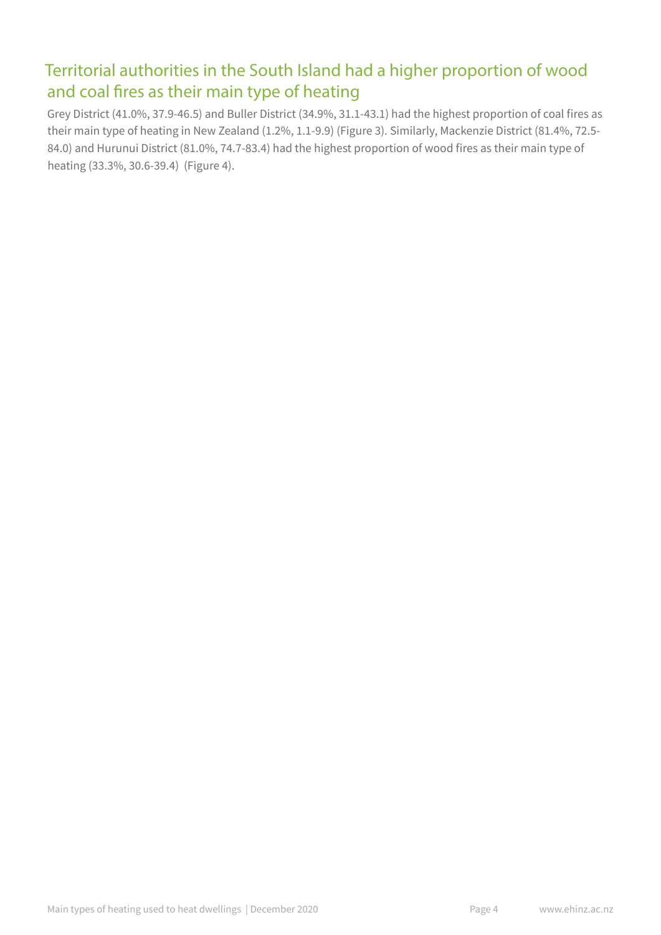## Territorial authorities in the South Island had a higher proportion of wood and coal fires as their main type of heating

Grey District (41.0%, 37.9-46.5) and Buller District (34.9%, 31.1-43.1) had the highest proportion of coal fires as their main type of heating in New Zealand (1.2%, 1.1-9.9) (Figure 3). Similarly, Mackenzie District (81.4%, 72.5- 84.0) and Hurunui District (81.0%, 74.7-83.4) had the highest proportion of wood fires as their main type of heating (33.3%, 30.6-39.4) (Figure 4).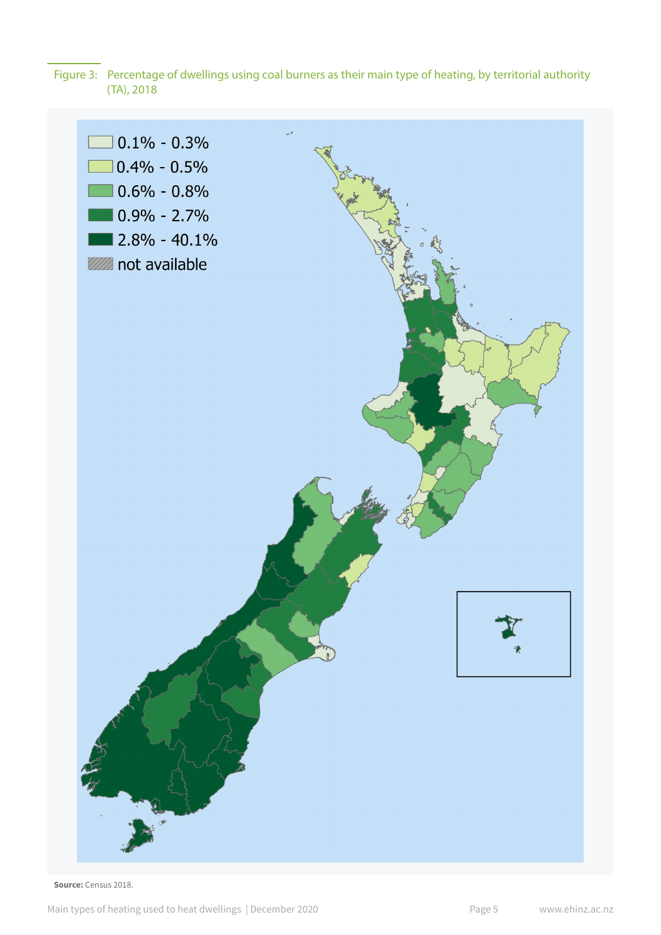Figure 3: Percentage of dwellings using coal burners as their main type of heating, by territorial authority (TA), 2018



Source: Census 2018.

Main types of heating used to heat dwellings | December 2020 **Page 5** Www.ehinz.ac.nz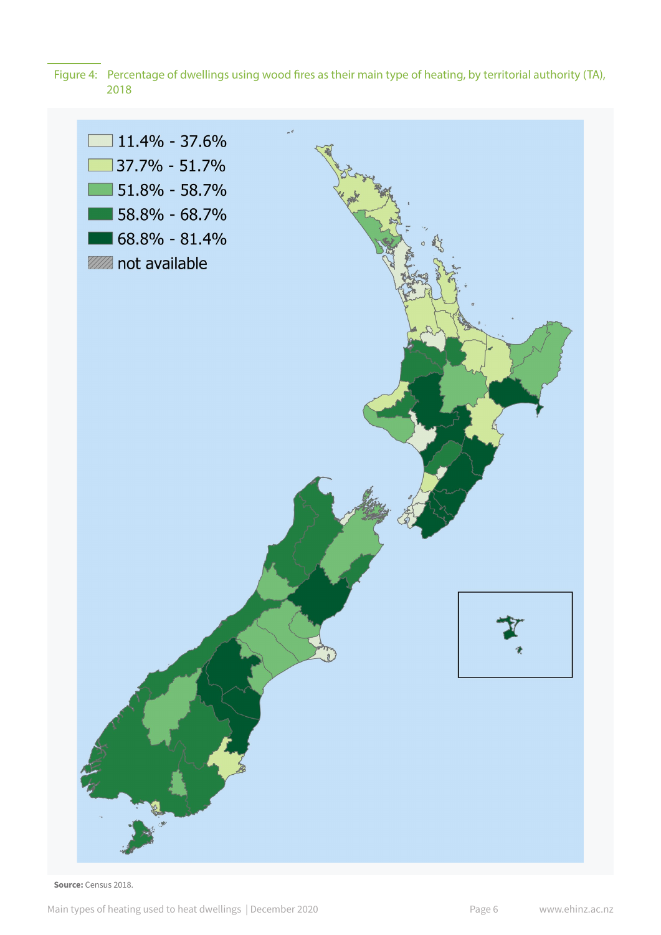Figure 4: Percentage of dwellings using wood fires as their main type of heating, by territorial authority (TA), 2018



Source: Census 2018.

Main types of heating used to heat dwellings | December 2020 **Page 6** Www.ehinz.ac.nz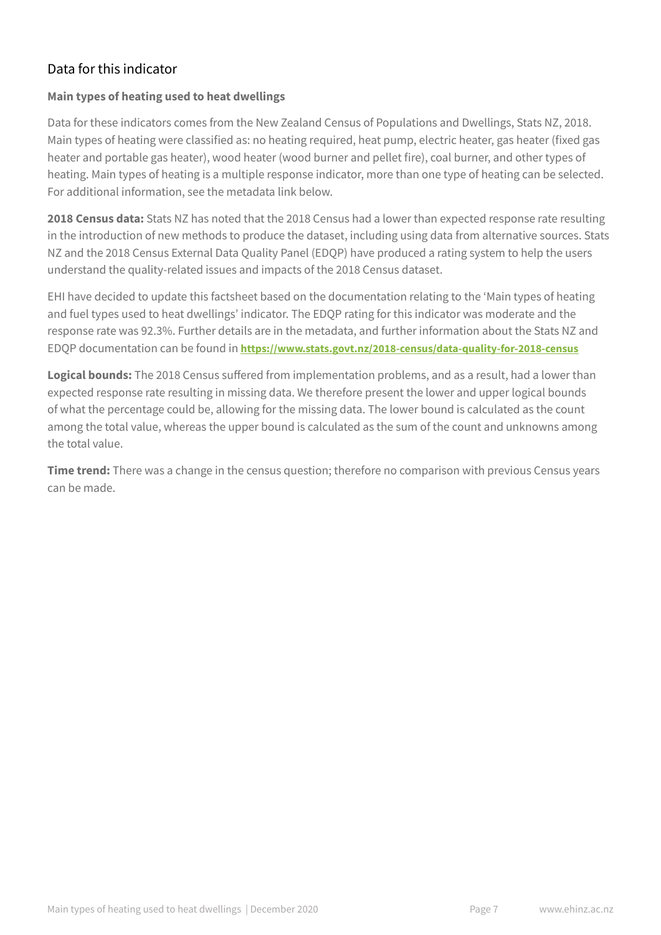## Data for this indicator

#### **Main types of heating used to heat dwellings**

Data for these indicators comes from the New Zealand Census of Populations and Dwellings, Stats NZ, 2018. Main types of heating were classified as: no heating required, heat pump, electric heater, gas heater (fixed gas heater and portable gas heater), wood heater (wood burner and pellet fire), coal burner, and other types of heating. Main types of heating is a multiple response indicator, more than one type of heating can be selected. For additional information, see the metadata link below.

**2018 Census data:** Stats NZ has noted that the 2018 Census had a lower than expected response rate resulting in the introduction of new methods to produce the dataset, including using data from alternative sources. Stats NZ and the 2018 Census External Data Quality Panel (EDQP) have produced a rating system to help the users understand the quality-related issues and impacts of the 2018 Census dataset.

EHI have decided to update this factsheet based on the documentation relating to the 'Main types of heating and fuel types used to heat dwellings' indicator. The EDQP rating for this indicator was moderate and the response rate was 92.3%. Further details are in the metadata, and further information about the Stats NZ and EDQP documentation can be found in **<https://www.stats.govt.nz/2018-census/data-quality-for-2018-census>**

**Logical bounds:** The 2018 Census suffered from implementation problems, and as a result, had a lower than expected response rate resulting in missing data. We therefore present the lower and upper logical bounds of what the percentage could be, allowing for the missing data. The lower bound is calculated as the count among the total value, whereas the upper bound is calculated as the sum of the count and unknowns among the total value.

**Time trend:** There was a change in the census question; therefore no comparison with previous Census years can be made.